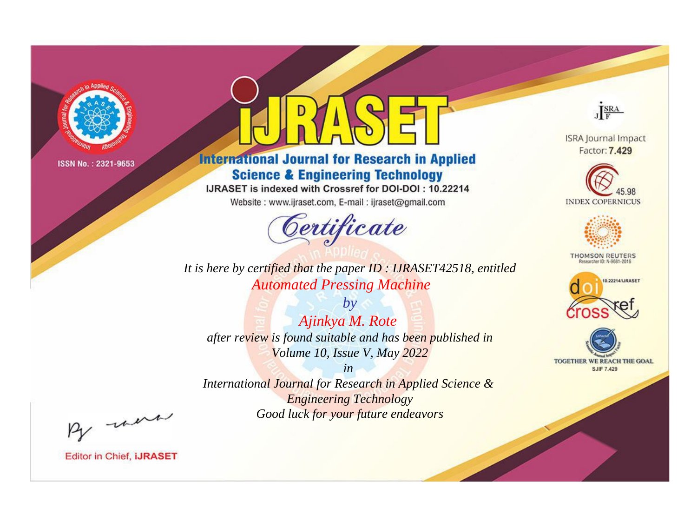

# **International Journal for Research in Applied Science & Engineering Technology**

IJRASET is indexed with Crossref for DOI-DOI: 10.22214

Website: www.ijraset.com, E-mail: ijraset@gmail.com



**ISRA Journal Impact** Factor: 7.429

JERA





**THOMSON REUTERS** 



TOGETHER WE REACH THE GOAL **SJIF 7.429** 

*It is here by certified that the paper ID : IJRASET42518, entitled Automated Pressing Machine*

*by Ajinkya M. Rote after review is found suitable and has been published in Volume 10, Issue V, May 2022*

*in* 

*International Journal for Research in Applied Science & Engineering Technology Good luck for your future endeavors*

By morn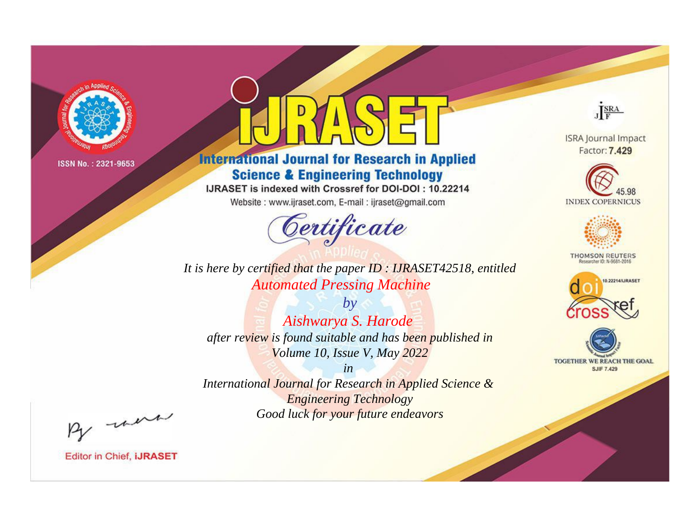

# **International Journal for Research in Applied Science & Engineering Technology**

IJRASET is indexed with Crossref for DOI-DOI: 10.22214

Website: www.ijraset.com, E-mail: ijraset@gmail.com



JERA

**ISRA Journal Impact** Factor: 7.429





**THOMSON REUTERS** 



TOGETHER WE REACH THE GOAL **SJIF 7.429** 

It is here by certified that the paper ID: IJRASET42518, entitled **Automated Pressing Machine** 

 $by$ Aishwarya S. Harode after review is found suitable and has been published in Volume 10, Issue V, May 2022

 $in$ International Journal for Research in Applied Science & **Engineering Technology** Good luck for your future endeavors

By morn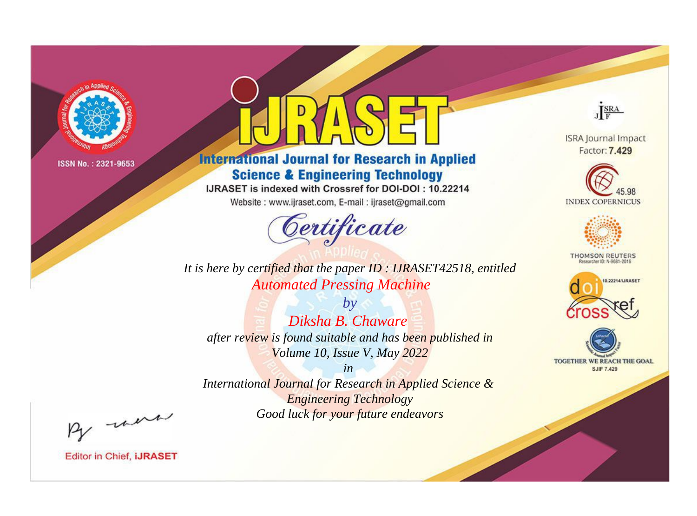

# **International Journal for Research in Applied Science & Engineering Technology**

IJRASET is indexed with Crossref for DOI-DOI: 10.22214

Website: www.ijraset.com, E-mail: ijraset@gmail.com



JERA

**ISRA Journal Impact** Factor: 7.429





**THOMSON REUTERS** 



TOGETHER WE REACH THE GOAL **SJIF 7.429** 

*It is here by certified that the paper ID : IJRASET42518, entitled Automated Pressing Machine*

*by Diksha B. Chaware after review is found suitable and has been published in Volume 10, Issue V, May 2022*

*in* 

*International Journal for Research in Applied Science & Engineering Technology Good luck for your future endeavors*

By morn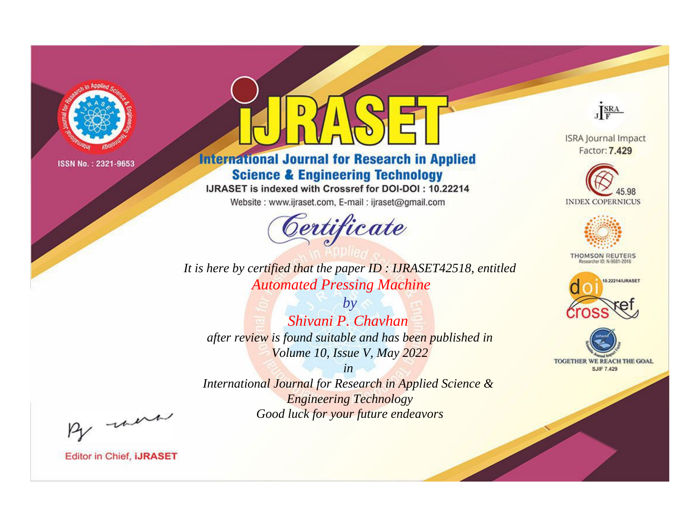

# **International Journal for Research in Applied Science & Engineering Technology**

IJRASET is indexed with Crossref for DOI-DOI: 10.22214

Website: www.ijraset.com, E-mail: ijraset@gmail.com



JERA

**ISRA Journal Impact** Factor: 7.429





**THOMSON REUTERS** 



TOGETHER WE REACH THE GOAL **SJIF 7.429** 

*It is here by certified that the paper ID : IJRASET42518, entitled Automated Pressing Machine*

*by Shivani P. Chavhan after review is found suitable and has been published in Volume 10, Issue V, May 2022*

*in* 

*International Journal for Research in Applied Science & Engineering Technology Good luck for your future endeavors*

By morn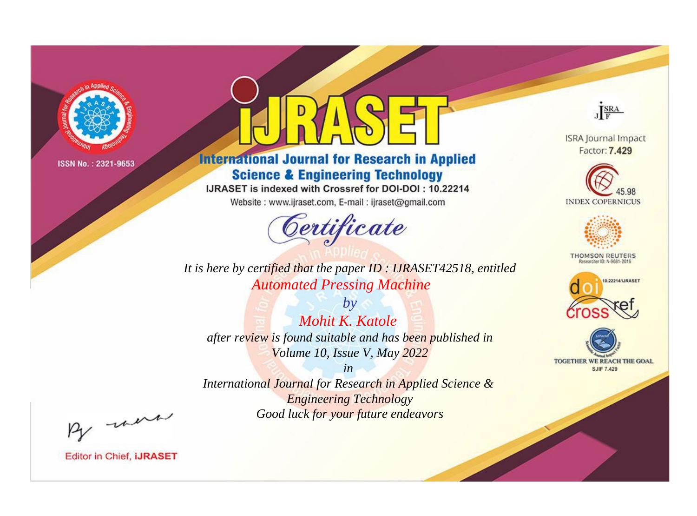

# **International Journal for Research in Applied Science & Engineering Technology**

IJRASET is indexed with Crossref for DOI-DOI: 10.22214

Website: www.ijraset.com, E-mail: ijraset@gmail.com



**ISRA Journal Impact** Factor: 7.429

JERA





**THOMSON REUTERS** 



TOGETHER WE REACH THE GOAL **SJIF 7.429** 

*It is here by certified that the paper ID : IJRASET42518, entitled Automated Pressing Machine*

*by Mohit K. Katole after review is found suitable and has been published in Volume 10, Issue V, May 2022*

*in* 

*International Journal for Research in Applied Science & Engineering Technology Good luck for your future endeavors*

By morn